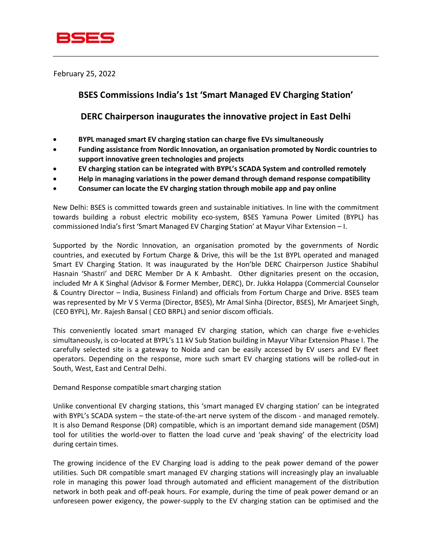

February 25, 2022

## **BSES Commissions India's 1st 'Smart Managed EV Charging Station'**

\_\_\_\_\_\_\_\_\_\_\_\_\_\_\_\_\_\_\_\_\_\_\_\_\_\_\_\_\_\_\_\_\_\_\_\_\_\_\_\_\_\_\_\_\_\_\_\_\_\_\_\_\_\_\_\_\_\_\_\_\_\_\_\_\_\_\_\_\_\_\_\_\_\_\_\_\_

## **DERC Chairperson inaugurates the innovative project in East Delhi**

- **BYPL managed smart EV charging station can charge five EVs simultaneously**
- **Funding assistance from Nordic Innovation, an organisation promoted by Nordic countries to support innovative green technologies and projects**
- **EV charging station can be integrated with BYPL's SCADA System and controlled remotely**
- **Help in managing variations in the power demand through demand response compatibility**
- **Consumer can locate the EV charging station through mobile app and pay online**

New Delhi: BSES is committed towards green and sustainable initiatives. In line with the commitment towards building a robust electric mobility eco-system, BSES Yamuna Power Limited (BYPL) has commissioned India's first 'Smart Managed EV Charging Station' at Mayur Vihar Extension – I.

Supported by the Nordic Innovation, an organisation promoted by the governments of Nordic countries, and executed by Fortum Charge & Drive, this will be the 1st BYPL operated and managed Smart EV Charging Station. It was inaugurated by the Hon'ble DERC Chairperson Justice Shabihul Hasnain 'Shastri' and DERC Member Dr A K Ambasht. Other dignitaries present on the occasion, included Mr A K Singhal (Advisor & Former Member, DERC), Dr. Jukka Holappa (Commercial Counselor & Country Director – India, Business Finland) and officials from Fortum Charge and Drive. BSES team was represented by Mr V S Verma (Director, BSES), Mr Amal Sinha (Director, BSES), Mr Amarjeet Singh, (CEO BYPL), Mr. Rajesh Bansal ( CEO BRPL) and senior discom officials.

This conveniently located smart managed EV charging station, which can charge five e-vehicles simultaneously, is co-located at BYPL's 11 kV Sub Station building in Mayur Vihar Extension Phase I. The carefully selected site is a gateway to Noida and can be easily accessed by EV users and EV fleet operators. Depending on the response, more such smart EV charging stations will be rolled-out in South, West, East and Central Delhi.

Demand Response compatible smart charging station

Unlike conventional EV charging stations, this 'smart managed EV charging station' can be integrated with BYPL's SCADA system – the state-of-the-art nerve system of the discom - and managed remotely. It is also Demand Response (DR) compatible, which is an important demand side management (DSM) tool for utilities the world-over to flatten the load curve and 'peak shaving' of the electricity load during certain times.

The growing incidence of the EV Charging load is adding to the peak power demand of the power utilities. Such DR compatible smart managed EV charging stations will increasingly play an invaluable role in managing this power load through automated and efficient management of the distribution network in both peak and off-peak hours. For example, during the time of peak power demand or an unforeseen power exigency, the power-supply to the EV charging station can be optimised and the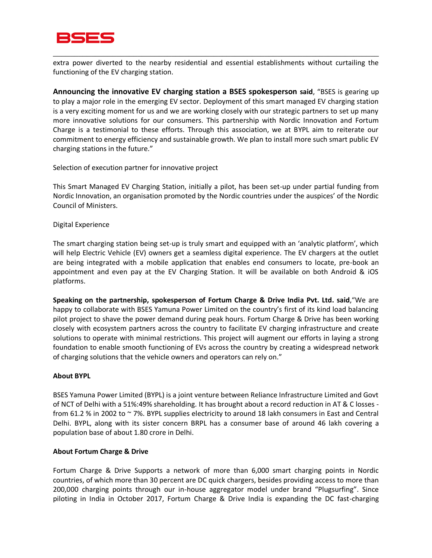

extra power diverted to the nearby residential and essential establishments without curtailing the functioning of the EV charging station.

\_\_\_\_\_\_\_\_\_\_\_\_\_\_\_\_\_\_\_\_\_\_\_\_\_\_\_\_\_\_\_\_\_\_\_\_\_\_\_\_\_\_\_\_\_\_\_\_\_\_\_\_\_\_\_\_\_\_\_\_\_\_\_\_\_\_\_\_\_\_\_\_\_\_\_\_\_

**Announcing the innovative EV charging station a BSES spokesperson said**, "BSES is gearing up to play a major role in the emerging EV sector. Deployment of this smart managed EV charging station is a very exciting moment for us and we are working closely with our strategic partners to set up many more innovative solutions for our consumers. This partnership with Nordic Innovation and Fortum Charge is a testimonial to these efforts. Through this association, we at BYPL aim to reiterate our commitment to energy efficiency and sustainable growth. We plan to install more such smart public EV charging stations in the future."

Selection of execution partner for innovative project

This Smart Managed EV Charging Station, initially a pilot, has been set-up under partial funding from Nordic Innovation, an organisation promoted by the Nordic countries under the auspices' of the Nordic Council of Ministers.

Digital Experience

The smart charging station being set-up is truly smart and equipped with an 'analytic platform', which will help Electric Vehicle (EV) owners get a seamless digital experience. The EV chargers at the outlet are being integrated with a mobile application that enables end consumers to locate, pre-book an appointment and even pay at the EV Charging Station. It will be available on both Android & iOS platforms.

**Speaking on the partnership, spokesperson of Fortum Charge & Drive India Pvt. Ltd. said**,"We are happy to collaborate with BSES Yamuna Power Limited on the country's first of its kind load balancing pilot project to shave the power demand during peak hours. Fortum Charge & Drive has been working closely with ecosystem partners across the country to facilitate EV charging infrastructure and create solutions to operate with minimal restrictions. This project will augment our efforts in laying a strong foundation to enable smooth functioning of EVs across the country by creating a widespread network of charging solutions that the vehicle owners and operators can rely on."

## **About BYPL**

BSES Yamuna Power Limited (BYPL) is a joint venture between Reliance Infrastructure Limited and Govt of NCT of Delhi with a 51%:49% shareholding. It has brought about a record reduction in AT & C losses from 61.2 % in 2002 to ~ 7%. BYPL supplies electricity to around 18 lakh consumers in East and Central Delhi. BYPL, along with its sister concern BRPL has a consumer base of around 46 lakh covering a population base of about 1.80 crore in Delhi.

## **About Fortum Charge & Drive**

Fortum Charge & Drive Supports a network of more than 6,000 smart charging points in Nordic countries, of which more than 30 percent are DC quick chargers, besides providing access to more than 200,000 charging points through our in-house aggregator model under brand "Plugsurfing". Since piloting in India in October 2017, Fortum Charge & Drive India is expanding the DC fast-charging